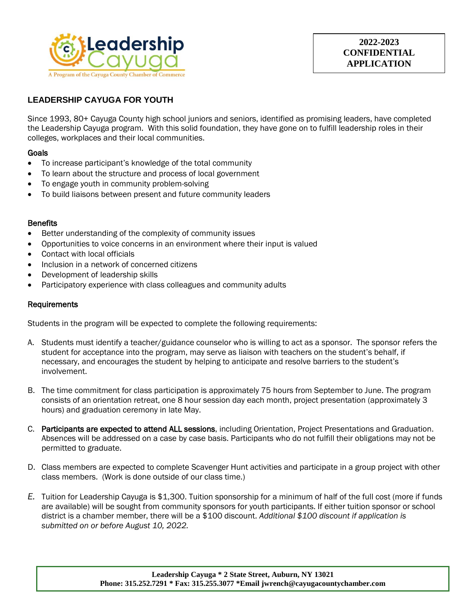

# **LEADERSHIP CAYUGA FOR YOUTH**

Since 1993, 80+ Cayuga County high school juniors and seniors, identified as promising leaders, have completed the Leadership Cayuga program. With this solid foundation, they have gone on to fulfill leadership roles in their colleges, workplaces and their local communities.

## **Goals**

- To increase participant's knowledge of the total community
- To learn about the structure and process of local government
- To engage youth in community problem-solving
- To build liaisons between present and future community leaders

## **Benefits**

- Better understanding of the complexity of community issues
- Opportunities to voice concerns in an environment where their input is valued
- Contact with local officials
- Inclusion in a network of concerned citizens
- Development of leadership skills
- Participatory experience with class colleagues and community adults

## Requirements

Students in the program will be expected to complete the following requirements:

- A. Students must identify a teacher/guidance counselor who is willing to act as a sponsor. The sponsor refers the student for acceptance into the program, may serve as liaison with teachers on the student's behalf, if necessary, and encourages the student by helping to anticipate and resolve barriers to the student's involvement.
- B. The time commitment for class participation is approximately 75 hours from September to June. The program consists of an orientation retreat, one 8 hour session day each month, project presentation (approximately 3 hours) and graduation ceremony in late May.
- C. Participants are expected to attend ALL sessions, including Orientation, Project Presentations and Graduation. Absences will be addressed on a case by case basis. Participants who do not fulfill their obligations may not be permitted to graduate.
- D. Class members are expected to complete Scavenger Hunt activities and participate in a group project with other class members. (Work is done outside of our class time.)
- *E.* Tuition for Leadership Cayuga is \$1,300. Tuition sponsorship for a minimum of half of the full cost (more if funds are available) will be sought from community sponsors for youth participants. If either tuition sponsor or school district is a chamber member, there will be a \$100 discount. *Additional \$100 discount if application is submitted on or before August 10, 2022.*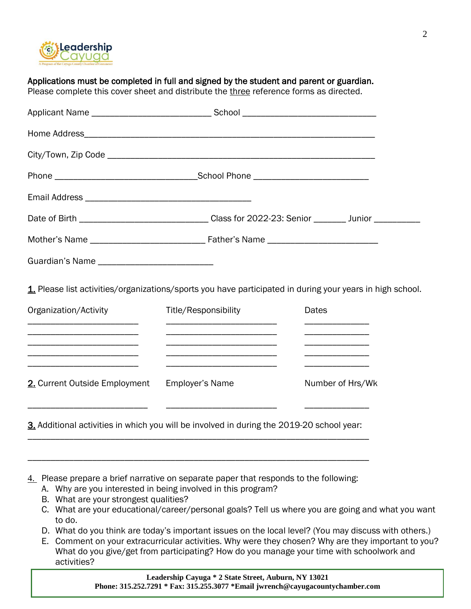

|                                                             |                                                                                                                      | Date of Birth ________________________________Class for 2022-23: Senior ________ Junior ___________       |  |  |
|-------------------------------------------------------------|----------------------------------------------------------------------------------------------------------------------|-----------------------------------------------------------------------------------------------------------|--|--|
|                                                             |                                                                                                                      |                                                                                                           |  |  |
|                                                             |                                                                                                                      |                                                                                                           |  |  |
|                                                             |                                                                                                                      |                                                                                                           |  |  |
|                                                             |                                                                                                                      | 1. Please list activities/organizations/sports you have participated in during your years in high school. |  |  |
| Organization/Activity                                       | <b>Title/Responsibility</b>                                                                                          | <b>Dates</b>                                                                                              |  |  |
| <u> 1989 - Johann Stoff, Amerikaansk politiker (* 1908)</u> | <u> 1989 - Johann Barbara, martin amerikan basar dan berasal dalam basa dalam basar dalam basar dalam basa dalam</u> |                                                                                                           |  |  |
| 2. Current Outside Employment                               | Employer's Name                                                                                                      | Number of Hrs/Wk                                                                                          |  |  |

Applications must be completed in full and signed by the student and parent or guardian.

- 4. Please prepare a brief narrative on separate paper that responds to the following:
	- A. Why are you interested in being involved in this program?
	- B. What are your strongest qualities?
	- C. What are your educational/career/personal goals? Tell us where you are going and what you want to do.
	- D. What do you think are today's important issues on the local level? (You may discuss with others.)
	- E. Comment on your extracurricular activities. Why were they chosen? Why are they important to you? What do you give/get from participating? How do you manage your time with schoolwork and activities?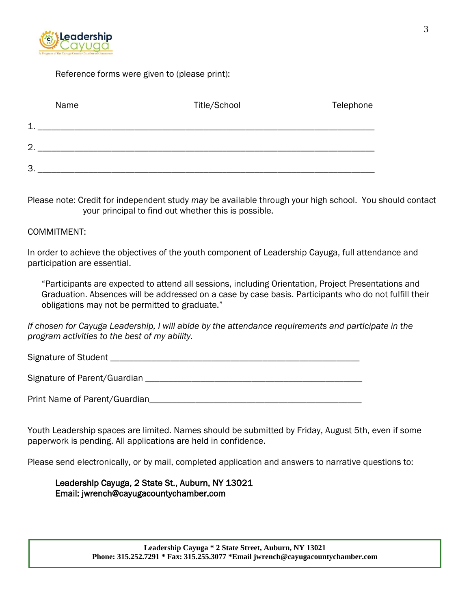

Reference forms were given to (please print):

| Name           | Title/School | Telephone |
|----------------|--------------|-----------|
| 1              |              |           |
| $\overline{2}$ |              |           |
| 3              |              |           |

Please note: Credit for independent study *may* be available through your high school. You should contact your principal to find out whether this is possible.

## COMMITMENT:

In order to achieve the objectives of the youth component of Leadership Cayuga, full attendance and participation are essential.

"Participants are expected to attend all sessions, including Orientation, Project Presentations and Graduation. Absences will be addressed on a case by case basis. Participants who do not fulfill their obligations may not be permitted to graduate."

*If chosen for Cayuga Leadership, I will abide by the attendance requirements and participate in the program activities to the best of my ability.* 

Signature of Student \_\_\_\_\_\_\_\_\_\_\_\_\_\_\_\_\_\_\_\_\_\_\_\_\_\_\_\_\_\_\_\_\_\_\_\_\_\_\_\_\_\_\_\_\_\_\_\_\_\_\_\_\_\_

Signature of Parent/Guardian **Example 2018** 

Print Name of Parent/Guardian **Example 2018** 

Youth Leadership spaces are limited. Names should be submitted by Friday, August 5th, even if some paperwork is pending. All applications are held in confidence.

Please send electronically, or by mail, completed application and answers to narrative questions to:

Leadership Cayuga, 2 State St., Auburn, NY 13021 Email: jwrench@cayugacountychamber.com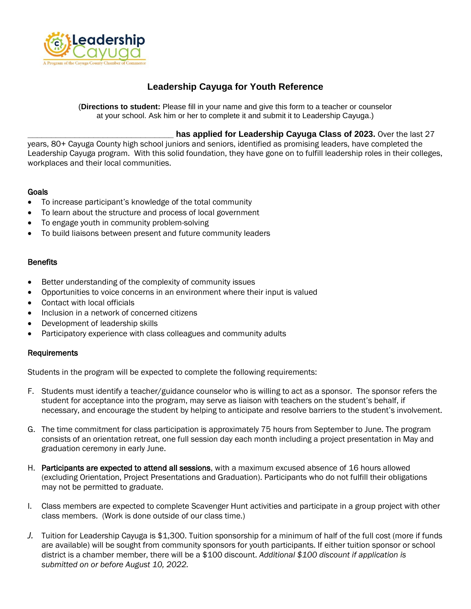

# **Leadership Cayuga for Youth Reference**

(**Directions to student:** Please fill in your name and give this form to a teacher or counselor at your school. Ask him or her to complete it and submit it to Leadership Cayuga.)

## **has applied for Leadership Cayuga Class of 2023.** Over the last 27

years, 80+ Cayuga County high school juniors and seniors, identified as promising leaders, have completed the Leadership Cayuga program. With this solid foundation, they have gone on to fulfill leadership roles in their colleges, workplaces and their local communities.

## **Goals**

- To increase participant's knowledge of the total community
- To learn about the structure and process of local government
- To engage youth in community problem-solving
- To build liaisons between present and future community leaders

## **Benefits**

- Better understanding of the complexity of community issues
- Opportunities to voice concerns in an environment where their input is valued
- Contact with local officials
- Inclusion in a network of concerned citizens
- Development of leadership skills
- Participatory experience with class colleagues and community adults

## Requirements

Students in the program will be expected to complete the following requirements:

- F. Students must identify a teacher/guidance counselor who is willing to act as a sponsor. The sponsor refers the student for acceptance into the program, may serve as liaison with teachers on the student's behalf, if necessary, and encourage the student by helping to anticipate and resolve barriers to the student's involvement.
- G. The time commitment for class participation is approximately 75 hours from September to June. The program consists of an orientation retreat, one full session day each month including a project presentation in May and graduation ceremony in early June.
- H. Participants are expected to attend all sessions, with a maximum excused absence of 16 hours allowed (excluding Orientation, Project Presentations and Graduation). Participants who do not fulfill their obligations may not be permitted to graduate.
- I. Class members are expected to complete Scavenger Hunt activities and participate in a group project with other class members. (Work is done outside of our class time.)
- *J.* Tuition for Leadership Cayuga is \$1,300. Tuition sponsorship for a minimum of half of the full cost (more if funds are available) will be sought from community sponsors for youth participants. If either tuition sponsor or school district is a chamber member, there will be a \$100 discount. *Additional \$100 discount if application is submitted on or before August 10, 2022.*